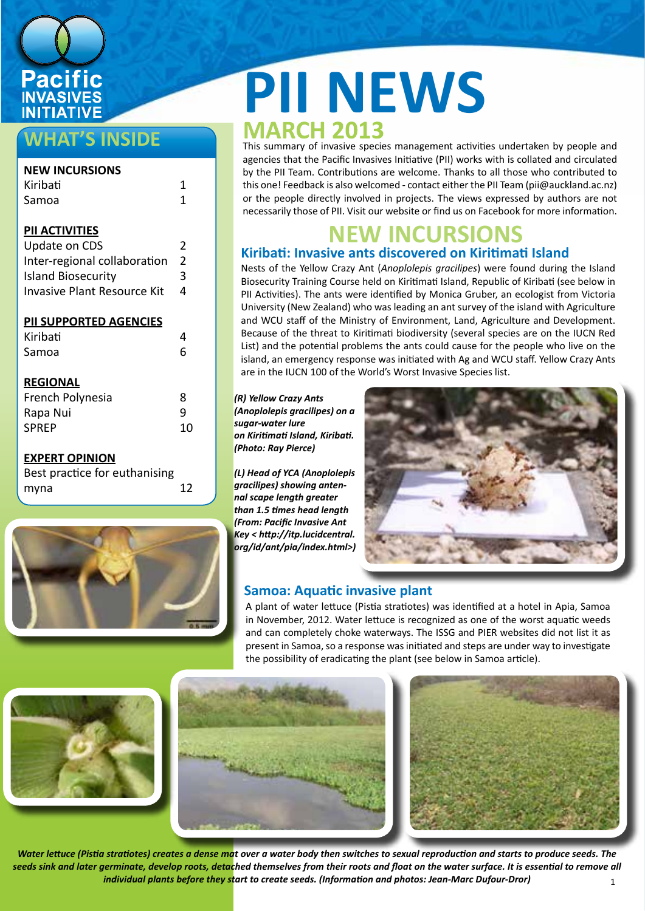

# **WHAT'S INSIDE**

| <b>NEW INCURSIONS</b>         |                |
|-------------------------------|----------------|
| Kiribati                      | 1              |
| Samoa                         | 1              |
|                               |                |
| <b>PIL ACTIVITIES</b>         |                |
| Update on CDS                 | 2              |
| Inter-regional collaboration  | $\overline{2}$ |
| <b>Island Biosecurity</b>     | 3              |
| Invasive Plant Resource Kit   | 4              |
|                               |                |
| <b>PII SUPPORTED AGENCIES</b> |                |
| Kiribati                      | 4              |
| Samoa                         | 6              |
|                               |                |
| <b>REGIONAL</b>               |                |
| French Polynesia              | 8              |
| Rapa Nui                      | 9              |
| <b>SPREP</b>                  | 10             |
|                               |                |
| <b>EXPERT OPINION</b>         |                |
| Rest practice for euthanising |                |

| Best practice for euthanising |     |
|-------------------------------|-----|
| myna                          | -12 |
|                               |     |



# **PII NEWS**<br>MARCH 2013

This summary of invasive species management activities undertaken by people and agencies that the Pacific Invasives Initiative (PII) works with is collated and circulated by the PII Team. Contributions are welcome. Thanks to all those who contributed to this one! Feedback is also welcomed - contact either the PII Team (pii@auckland.ac.nz) or the people directly involved in projects. The views expressed by authors are not necessarily those of PII. Visit our website or find us on Facebook for more information.

# **NEW INCURSIONS**

## Nests of the Yellow Crazy Ant (*Anoplolepis gracilipes*) were found during the Island **Kiribati: Invasive ants discovered on Kiritimati Island**

Biosecurity Training Course held on Kiritimati Island, Republic of Kiribati (see below in PII Activities). The ants were identified by Monica Gruber, an ecologist from Victoria University (New Zealand) who was leading an ant survey of the island with Agriculture and WCU staff of the Ministry of Environment, Land, Agriculture and Development. Because of the threat to Kiritimati biodiversity (several species are on the IUCN Red List) and the potential problems the ants could cause for the people who live on the island, an emergency response was initiated with Ag and WCU staff. Yellow Crazy Ants are in the IUCN 100 of the World's Worst Invasive Species list.

*(R) Yellow Crazy Ants (Anoplolepis gracilipes) on a sugar-water lure on Kiritimati Island, Kiribati. (Photo: Ray Pierce)*

*(L) Head of YCA (Anoplolepis gracilipes) showing antennal scape length greater than 1.5 times head length (From: Pacific Invasive Ant Key < http://itp.lucidcentral. org/id/ant/pia/index.html>)* 



# **Samoa: Aquatic invasive plant**

A plant of water lettuce (Pistia stratiotes) was identified at a hotel in Apia, Samoa in November, 2012. Water lettuce is recognized as one of the worst aquatic weeds and can completely choke waterways. The ISSG and PIER websites did not list it as present in Samoa, so a response was initiated and steps are under way to investigate the possibility of eradicating the plant (see below in Samoa article).



1 *Water lettuce (Pistia stratiotes) creates a dense mat over a water body then switches to sexual reproduction and starts to produce seeds. The*  seeds sink and later germinate, develop roots, detached themselves from their roots and float on the water surface. It is essential to remove all *individual plants before they start to create seeds. (Information and photos: Jean-Marc Dufour-Dror)*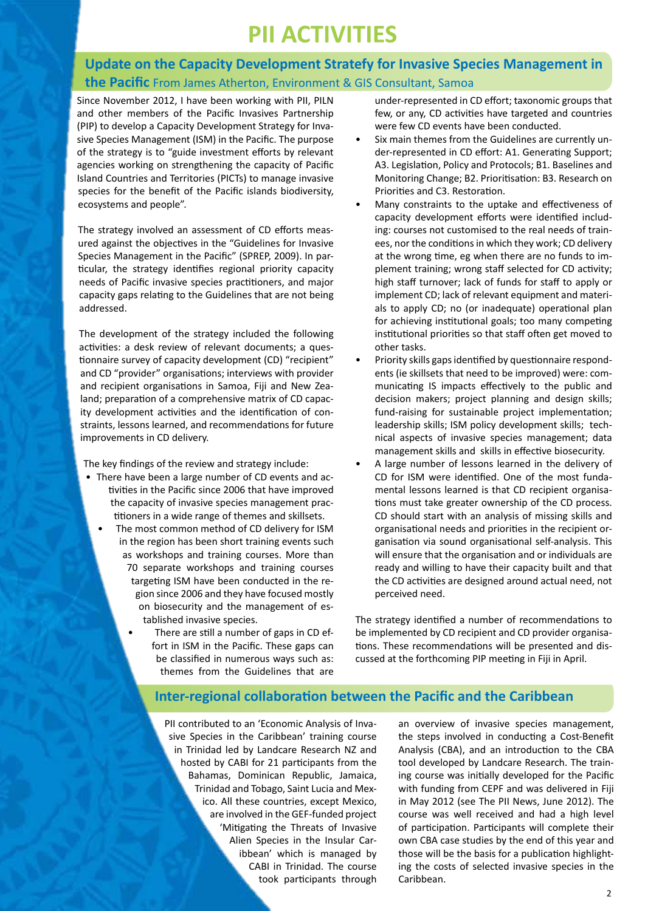# **PII ACTIVITIES**

# **Update on the Capacity Development Stratefy for Invasive Species Management in the Pacific** From James Atherton, Environment & GIS Consultant, Samoa

Since November 2012, I have been working with PII, PILN and other members of the Pacific Invasives Partnership (PIP) to develop a Capacity Development Strategy for Invasive Species Management (ISM) in the Pacific. The purpose of the strategy is to "guide investment efforts by relevant agencies working on strengthening the capacity of Pacific Island Countries and Territories (PICTs) to manage invasive species for the benefit of the Pacific islands biodiversity, ecosystems and people".

The strategy involved an assessment of CD efforts measured against the objectives in the "Guidelines for Invasive Species Management in the Pacific" (SPREP, 2009). In particular, the strategy identifies regional priority capacity needs of Pacific invasive species practitioners, and major capacity gaps relating to the Guidelines that are not being addressed.

The development of the strategy included the following activities: a desk review of relevant documents; a questionnaire survey of capacity development (CD) "recipient" and CD "provider" organisations; interviews with provider and recipient organisations in Samoa, Fiji and New Zealand; preparation of a comprehensive matrix of CD capacity development activities and the identification of constraints, lessons learned, and recommendations for future improvements in CD delivery.

The key findings of the review and strategy include:

- There have been a large number of CD events and activities in the Pacific since 2006 that have improved the capacity of invasive species management practitioners in a wide range of themes and skillsets.
	- The most common method of CD delivery for ISM in the region has been short training events such as workshops and training courses. More than 70 separate workshops and training courses targeting ISM have been conducted in the region since 2006 and they have focused mostly on biosecurity and the management of established invasive species.
		- There are still a number of gaps in CD effort in ISM in the Pacific. These gaps can be classified in numerous ways such as: themes from the Guidelines that are

under-represented in CD effort; taxonomic groups that few, or any, CD activities have targeted and countries were few CD events have been conducted.

- Six main themes from the Guidelines are currently under-represented in CD effort: A1. Generating Support; A3. Legislation, Policy and Protocols; B1. Baselines and Monitoring Change; B2. Prioritisation: B3. Research on Priorities and C3. Restoration.
- Many constraints to the uptake and effectiveness of capacity development efforts were identified including: courses not customised to the real needs of trainees, nor the conditions in which they work; CD delivery at the wrong time, eg when there are no funds to implement training; wrong staff selected for CD activity; high staff turnover; lack of funds for staff to apply or implement CD; lack of relevant equipment and materials to apply CD; no (or inadequate) operational plan for achieving institutional goals; too many competing institutional priorities so that staff often get moved to other tasks.
- Priority skills gaps identified by questionnaire respondents (ie skillsets that need to be improved) were: communicating IS impacts effectively to the public and decision makers; project planning and design skills; fund-raising for sustainable project implementation; leadership skills; ISM policy development skills; technical aspects of invasive species management; data management skills and skills in effective biosecurity.
- A large number of lessons learned in the delivery of CD for ISM were identified. One of the most fundamental lessons learned is that CD recipient organisations must take greater ownership of the CD process. CD should start with an analysis of missing skills and organisational needs and priorities in the recipient organisation via sound organisational self-analysis. This will ensure that the organisation and or individuals are ready and willing to have their capacity built and that the CD activities are designed around actual need, not perceived need.

The strategy identified a number of recommendations to be implemented by CD recipient and CD provider organisations. These recommendations will be presented and discussed at the forthcoming PIP meeting in Fiji in April.

## **Inter-regional collaboration between the Pacific and the Caribbean**

PII contributed to an 'Economic Analysis of Invasive Species in the Caribbean' training course in Trinidad led by Landcare Research NZ and hosted by CABI for 21 participants from the Bahamas, Dominican Republic, Jamaica, Trinidad and Tobago, Saint Lucia and Mexico. All these countries, except Mexico, are involved in the GEF-funded project 'Mitigating the Threats of Invasive Alien Species in the Insular Caribbean' which is managed by CABI in Trinidad. The course took participants through an overview of invasive species management, the steps involved in conducting a Cost-Benefit Analysis (CBA), and an introduction to the CBA tool developed by Landcare Research. The training course was initially developed for the Pacific with funding from CEPF and was delivered in Fiji in May 2012 (see The PII News, June 2012). The course was well received and had a high level of participation. Participants will complete their own CBA case studies by the end of this year and those will be the basis for a publication highlighting the costs of selected invasive species in the Caribbean.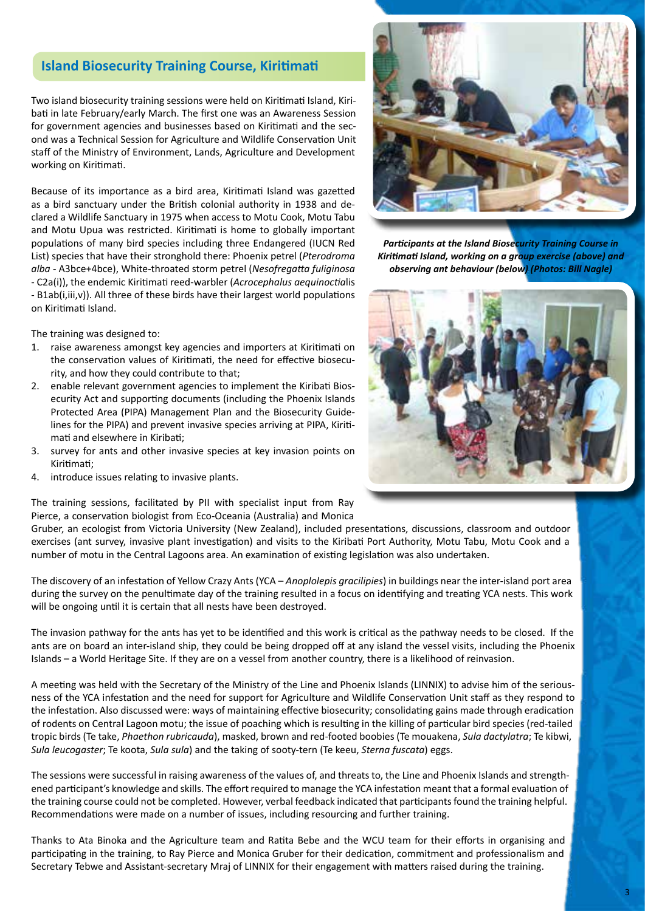## **Island Biosecurity Training Course, Kiritimati**

Two island biosecurity training sessions were held on Kiritimati Island, Kiribati in late February/early March. The first one was an Awareness Session for government agencies and businesses based on Kiritimati and the second was a Technical Session for Agriculture and Wildlife Conservation Unit staff of the Ministry of Environment, Lands, Agriculture and Development working on Kiritimati.

Because of its importance as a bird area, Kiritimati Island was gazetted as a bird sanctuary under the British colonial authority in 1938 and declared a Wildlife Sanctuary in 1975 when access to Motu Cook, Motu Tabu and Motu Upua was restricted. Kiritimati is home to globally important populations of many bird species including three Endangered (IUCN Red List) species that have their stronghold there: Phoenix petrel (*Pterodroma alba* - A3bce+4bce), White-throated storm petrel (*Nesofregatta fuliginosa* - C2a(i)), the endemic Kiritimati reed-warbler (*Acrocephalus aequinoctia*lis - B1ab(i,iii,v)). All three of these birds have their largest world populations on Kiritimati Island.

The training was designed to:

- 1. raise awareness amongst key agencies and importers at Kiritimati on the conservation values of Kiritimati, the need for effective biosecurity, and how they could contribute to that;
- 2. enable relevant government agencies to implement the Kiribati Biosecurity Act and supporting documents (including the Phoenix Islands Protected Area (PIPA) Management Plan and the Biosecurity Guidelines for the PIPA) and prevent invasive species arriving at PIPA, Kiritimati and elsewhere in Kiribati;
- 3. survey for ants and other invasive species at key invasion points on Kiritimati;
- 4. introduce issues relating to invasive plants.



*Participants at the Island Biosecurity Training Course in Kiritimati Island, working on a group exercise (above) and observing ant behaviour (below) (Photos: Bill Nagle)*



The training sessions, facilitated by PII with specialist input from Ray Pierce, a conservation biologist from Eco-Oceania (Australia) and Monica

Gruber, an ecologist from Victoria University (New Zealand), included presentations, discussions, classroom and outdoor exercises (ant survey, invasive plant investigation) and visits to the Kiribati Port Authority, Motu Tabu, Motu Cook and a number of motu in the Central Lagoons area. An examination of existing legislation was also undertaken.

The discovery of an infestation of Yellow Crazy Ants (YCA – *Anoplolepis gracilipies*) in buildings near the inter-island port area during the survey on the penultimate day of the training resulted in a focus on identifying and treating YCA nests. This work will be ongoing until it is certain that all nests have been destroyed.

The invasion pathway for the ants has yet to be identified and this work is critical as the pathway needs to be closed. If the ants are on board an inter-island ship, they could be being dropped off at any island the vessel visits, including the Phoenix Islands – a World Heritage Site. If they are on a vessel from another country, there is a likelihood of reinvasion.

A meeting was held with the Secretary of the Ministry of the Line and Phoenix Islands (LINNIX) to advise him of the seriousness of the YCA infestation and the need for support for Agriculture and Wildlife Conservation Unit staff as they respond to the infestation. Also discussed were: ways of maintaining effective biosecurity; consolidating gains made through eradication of rodents on Central Lagoon motu; the issue of poaching which is resulting in the killing of particular bird species (red-tailed tropic birds (Te take, *Phaethon rubricauda*), masked, brown and red-footed boobies (Te mouakena, *Sula dactylatra*; Te kibwi, *Sula leucogaster*; Te koota, *Sula sula*) and the taking of sooty-tern (Te keeu, *Sterna fuscata*) eggs.

The sessions were successful in raising awareness of the values of, and threats to, the Line and Phoenix Islands and strengthened participant's knowledge and skills. The effort required to manage the YCA infestation meant that a formal evaluation of the training course could not be completed. However, verbal feedback indicated that participants found the training helpful. Recommendations were made on a number of issues, including resourcing and further training.

Thanks to Ata Binoka and the Agriculture team and Ratita Bebe and the WCU team for their efforts in organising and participating in the training, to Ray Pierce and Monica Gruber for their dedication, commitment and professionalism and Secretary Tebwe and Assistant-secretary Mraj of LINNIX for their engagement with matters raised during the training.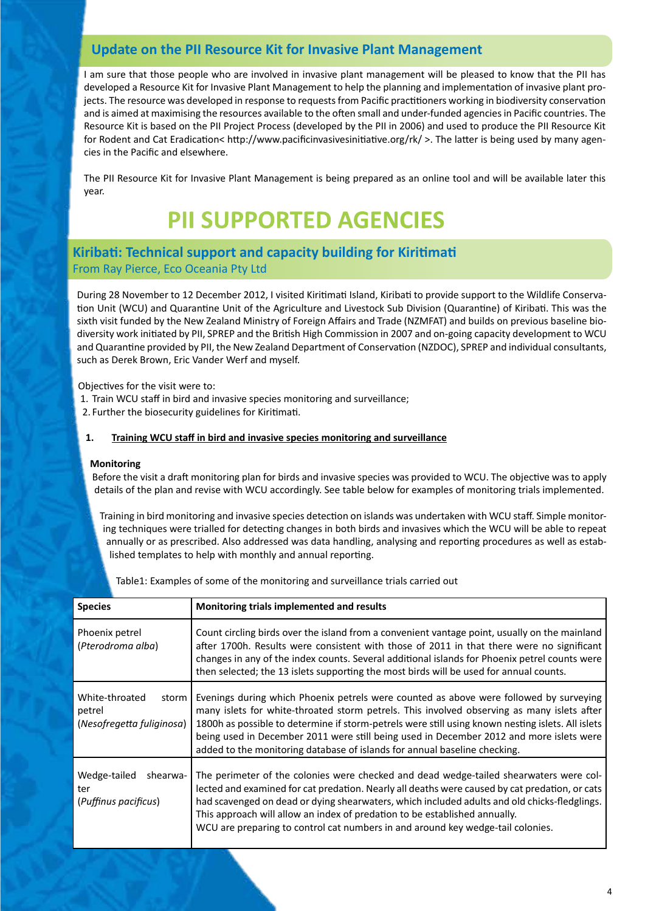# **Update on the PII Resource Kit for Invasive Plant Management**

I am sure that those people who are involved in invasive plant management will be pleased to know that the PII has developed a Resource Kit for Invasive Plant Management to help the planning and implementation of invasive plant projects. The resource was developed in response to requests from Pacific practitioners working in biodiversity conservation and is aimed at maximising the resources available to the often small and under-funded agencies in Pacific countries. The Resource Kit is based on the PII Project Process (developed by the PII in 2006) and used to produce the PII Resource Kit for Rodent and Cat Eradication< http://www.pacificinvasivesinitiative.org/rk/ >. The latter is being used by many agencies in the Pacific and elsewhere.

The PII Resource Kit for Invasive Plant Management is being prepared as an online tool and will be available later this year.

# **PII SUPPORTED AGENCIES**

## **Kiribati: Technical support and capacity building for Kiritimati**  From Ray Pierce, Eco Oceania Pty Ltd

During 28 November to 12 December 2012, I visited Kiritimati Island, Kiribati to provide support to the Wildlife Conservation Unit (WCU) and Quarantine Unit of the Agriculture and Livestock Sub Division (Quarantine) of Kiribati. This was the sixth visit funded by the New Zealand Ministry of Foreign Affairs and Trade (NZMFAT) and builds on previous baseline biodiversity work initiated by PII, SPREP and the British High Commission in 2007 and on-going capacity development to WCU and Quarantine provided by PII, the New Zealand Department of Conservation (NZDOC), SPREP and individual consultants, such as Derek Brown, Eric Vander Werf and myself.

Objectives for the visit were to:

- 1. Train WCU staff in bird and invasive species monitoring and surveillance;
- 2. Further the biosecurity guidelines for Kiritimati.

#### **1. Training WCU staff in bird and invasive species monitoring and surveillance**

#### **Monitoring**

Before the visit a draft monitoring plan for birds and invasive species was provided to WCU. The objective was to apply details of the plan and revise with WCU accordingly. See table below for examples of monitoring trials implemented.

Training in bird monitoring and invasive species detection on islands was undertaken with WCU staff. Simple monitoring techniques were trialled for detecting changes in both birds and invasives which the WCU will be able to repeat annually or as prescribed. Also addressed was data handling, analysing and reporting procedures as well as established templates to help with monthly and annual reporting.

| <b>Species</b>                                                 | Monitoring trials implemented and results                                                                                                                                                                                                                                                                                                                                                                                                                         |
|----------------------------------------------------------------|-------------------------------------------------------------------------------------------------------------------------------------------------------------------------------------------------------------------------------------------------------------------------------------------------------------------------------------------------------------------------------------------------------------------------------------------------------------------|
| Phoenix petrel<br>(Pterodroma alba)                            | Count circling birds over the island from a convenient vantage point, usually on the mainland<br>after 1700h. Results were consistent with those of 2011 in that there were no significant<br>changes in any of the index counts. Several additional islands for Phoenix petrel counts were<br>then selected; the 13 islets supporting the most birds will be used for annual counts.                                                                             |
| White-throated<br>storm<br>petrel<br>(Nesofregetta fuliginosa) | Evenings during which Phoenix petrels were counted as above were followed by surveying<br>many islets for white-throated storm petrels. This involved observing as many islets after<br>1800h as possible to determine if storm-petrels were still using known nesting islets. All islets<br>being used in December 2011 were still being used in December 2012 and more islets were<br>added to the monitoring database of islands for annual baseline checking. |
| Wedge-tailed<br>shearwa-<br>ter<br>(Puffinus pacificus)        | The perimeter of the colonies were checked and dead wedge-tailed shearwaters were col-<br>lected and examined for cat predation. Nearly all deaths were caused by cat predation, or cats<br>had scavenged on dead or dying shearwaters, which included adults and old chicks-fledglings.<br>This approach will allow an index of predation to be established annually.<br>WCU are preparing to control cat numbers in and around key wedge-tail colonies.         |

Table1: Examples of some of the monitoring and surveillance trials carried out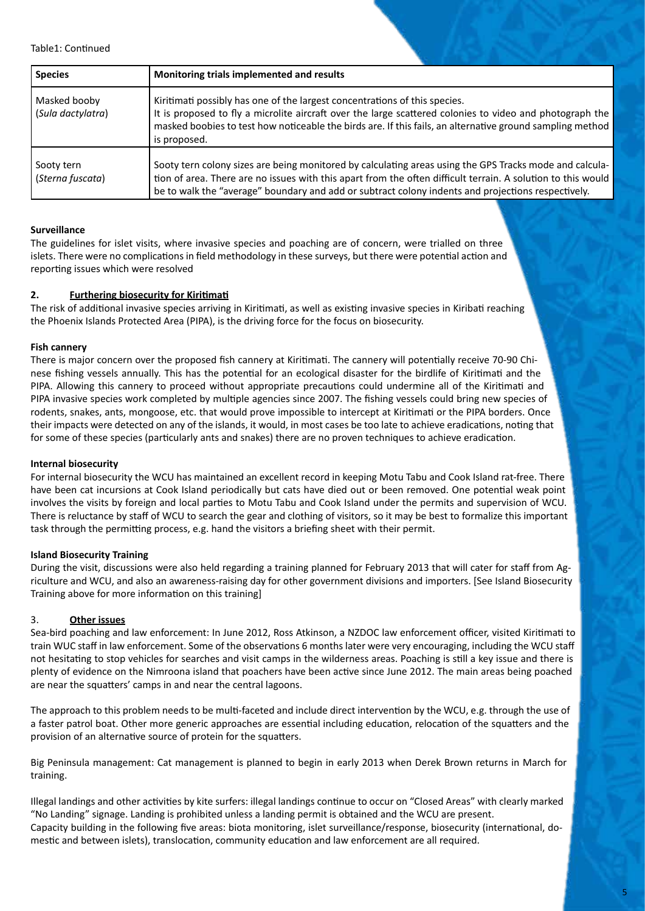Table1: Continued

| <b>Species</b>                    | Monitoring trials implemented and results                                                                                                                                                                                                                                                                                     |
|-----------------------------------|-------------------------------------------------------------------------------------------------------------------------------------------------------------------------------------------------------------------------------------------------------------------------------------------------------------------------------|
| Masked booby<br>(Sula dactylatra) | Kiritimati possibly has one of the largest concentrations of this species.<br>It is proposed to fly a microlite aircraft over the large scattered colonies to video and photograph the<br>masked boobies to test how noticeable the birds are. If this fails, an alternative ground sampling method<br>is proposed.           |
| Sooty tern<br>(Sterna fuscata)    | Sooty tern colony sizes are being monitored by calculating areas using the GPS Tracks mode and calcula-<br>tion of area. There are no issues with this apart from the often difficult terrain. A solution to this would<br>be to walk the "average" boundary and add or subtract colony indents and projections respectively. |

#### **Surveillance**

The guidelines for islet visits, where invasive species and poaching are of concern, were trialled on three islets. There were no complications in field methodology in these surveys, but there were potential action and reporting issues which were resolved

#### **2. Furthering biosecurity for Kiritimati**

The risk of additional invasive species arriving in Kiritimati, as well as existing invasive species in Kiribati reaching the Phoenix Islands Protected Area (PIPA), is the driving force for the focus on biosecurity.

#### **Fish cannery**

There is major concern over the proposed fish cannery at Kiritimati. The cannery will potentially receive 70-90 Chinese fishing vessels annually. This has the potential for an ecological disaster for the birdlife of Kiritimati and the PIPA. Allowing this cannery to proceed without appropriate precautions could undermine all of the Kiritimati and PIPA invasive species work completed by multiple agencies since 2007. The fishing vessels could bring new species of rodents, snakes, ants, mongoose, etc. that would prove impossible to intercept at Kiritimati or the PIPA borders. Once their impacts were detected on any of the islands, it would, in most cases be too late to achieve eradications, noting that for some of these species (particularly ants and snakes) there are no proven techniques to achieve eradication.

#### **Internal biosecurity**

For internal biosecurity the WCU has maintained an excellent record in keeping Motu Tabu and Cook Island rat-free. There have been cat incursions at Cook Island periodically but cats have died out or been removed. One potential weak point involves the visits by foreign and local parties to Motu Tabu and Cook Island under the permits and supervision of WCU. There is reluctance by staff of WCU to search the gear and clothing of visitors, so it may be best to formalize this important task through the permitting process, e.g. hand the visitors a briefing sheet with their permit.

#### **Island Biosecurity Training**

During the visit, discussions were also held regarding a training planned for February 2013 that will cater for staff from Agriculture and WCU, and also an awareness-raising day for other government divisions and importers. [See Island Biosecurity Training above for more information on this training]

#### 3. **Other issues**

Sea-bird poaching and law enforcement: In June 2012, Ross Atkinson, a NZDOC law enforcement officer, visited Kiritimati to train WUC staff in law enforcement. Some of the observations 6 months later were very encouraging, including the WCU staff not hesitating to stop vehicles for searches and visit camps in the wilderness areas. Poaching is still a key issue and there is plenty of evidence on the Nimroona island that poachers have been active since June 2012. The main areas being poached are near the squatters' camps in and near the central lagoons.

The approach to this problem needs to be multi-faceted and include direct intervention by the WCU, e.g. through the use of a faster patrol boat. Other more generic approaches are essential including education, relocation of the squatters and the provision of an alternative source of protein for the squatters.

Big Peninsula management: Cat management is planned to begin in early 2013 when Derek Brown returns in March for training.

Illegal landings and other activities by kite surfers: illegal landings continue to occur on "Closed Areas" with clearly marked "No Landing" signage. Landing is prohibited unless a landing permit is obtained and the WCU are present. Capacity building in the following five areas: biota monitoring, islet surveillance/response, biosecurity (international, domestic and between islets), translocation, community education and law enforcement are all required.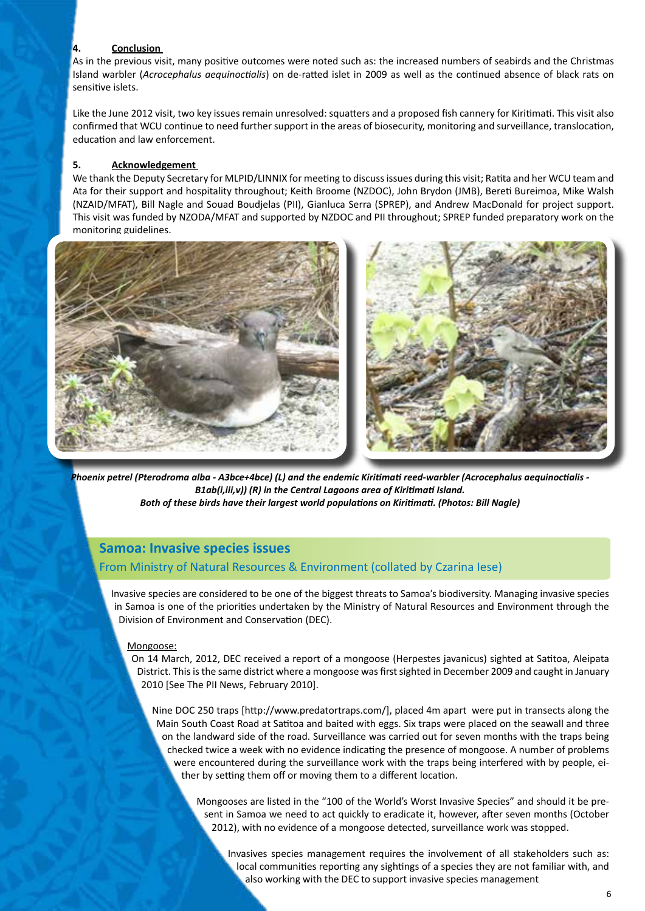#### **4. Conclusion**

As in the previous visit, many positive outcomes were noted such as: the increased numbers of seabirds and the Christmas Island warbler (*Acrocephalus aequinoctialis*) on de-ratted islet in 2009 as well as the continued absence of black rats on sensitive islets.

Like the June 2012 visit, two key issues remain unresolved: squatters and a proposed fish cannery for Kiritimati. This visit also confirmed that WCU continue to need further support in the areas of biosecurity, monitoring and surveillance, translocation, education and law enforcement.

#### **5. Acknowledgement**

We thank the Deputy Secretary for MLPID/LINNIX for meeting to discuss issues during this visit; Ratita and her WCU team and Ata for their support and hospitality throughout; Keith Broome (NZDOC), John Brydon (JMB), Bereti Bureimoa, Mike Walsh (NZAID/MFAT), Bill Nagle and Souad Boudjelas (PII), Gianluca Serra (SPREP), and Andrew MacDonald for project support. This visit was funded by NZODA/MFAT and supported by NZDOC and PII throughout; SPREP funded preparatory work on the monitoring guidelines.



*Phoenix petrel (Pterodroma alba - A3bce+4bce) (L) and the endemic Kiritimati reed-warbler (Acrocephalus aequinoctialis - B1ab(i,iii,v)) (R) in the Central Lagoons area of Kiritimati Island. Both of these birds have their largest world populations on Kiritimati. (Photos: Bill Nagle)*

# **Samoa: Invasive species issues**

#### From Ministry of Natural Resources & Environment (collated by Czarina Iese)

Invasive species are considered to be one of the biggest threats to Samoa's biodiversity. Managing invasive species in Samoa is one of the priorities undertaken by the Ministry of Natural Resources and Environment through the Division of Environment and Conservation (DEC).

#### Mongoose:

On 14 March, 2012, DEC received a report of a mongoose (Herpestes javanicus) sighted at Satitoa, Aleipata District. This is the same district where a mongoose was first sighted in December 2009 and caught in January 2010 [See The PII News, February 2010].

Nine DOC 250 traps [http://www.predatortraps.com/], placed 4m apart were put in transects along the Main South Coast Road at Satitoa and baited with eggs. Six traps were placed on the seawall and three on the landward side of the road. Surveillance was carried out for seven months with the traps being checked twice a week with no evidence indicating the presence of mongoose. A number of problems were encountered during the surveillance work with the traps being interfered with by people, either by setting them off or moving them to a different location.

Mongooses are listed in the "100 of the World's Worst Invasive Species" and should it be present in Samoa we need to act quickly to eradicate it, however, after seven months (October 2012), with no evidence of a mongoose detected, surveillance work was stopped.

Invasives species management requires the involvement of all stakeholders such as: local communities reporting any sightings of a species they are not familiar with, and also working with the DEC to support invasive species management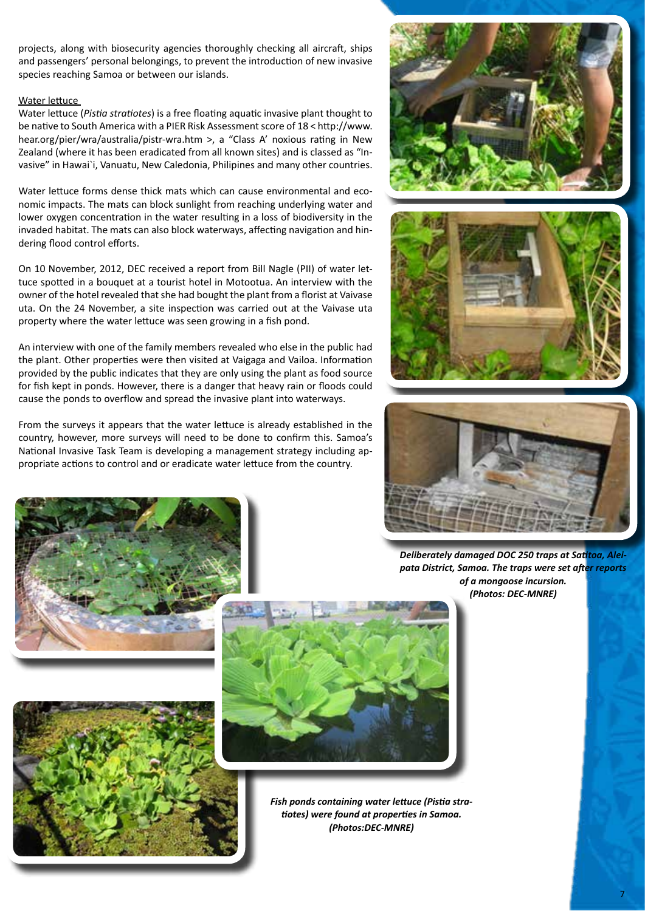projects, along with biosecurity agencies thoroughly checking all aircraft, ships and passengers' personal belongings, to prevent the introduction of new invasive species reaching Samoa or between our islands.

#### Water lettuce

Water lettuce (*Pistia stratiotes*) is a free floating aquatic invasive plant thought to be native to South America with a PIER Risk Assessment score of 18 < http://www. hear.org/pier/wra/australia/pistr-wra.htm >, a "Class A' noxious rating in New Zealand (where it has been eradicated from all known sites) and is classed as "Invasive" in Hawai`i, Vanuatu, New Caledonia, Philipines and many other countries.

Water lettuce forms dense thick mats which can cause environmental and economic impacts. The mats can block sunlight from reaching underlying water and lower oxygen concentration in the water resulting in a loss of biodiversity in the invaded habitat. The mats can also block waterways, affecting navigation and hindering flood control efforts.

On 10 November, 2012, DEC received a report from Bill Nagle (PII) of water lettuce spotted in a bouquet at a tourist hotel in Motootua. An interview with the owner of the hotel revealed that she had bought the plant from a florist at Vaivase uta. On the 24 November, a site inspection was carried out at the Vaivase uta property where the water lettuce was seen growing in a fish pond.

An interview with one of the family members revealed who else in the public had the plant. Other properties were then visited at Vaigaga and Vailoa. Information provided by the public indicates that they are only using the plant as food source for fish kept in ponds. However, there is a danger that heavy rain or floods could cause the ponds to overflow and spread the invasive plant into waterways.

From the surveys it appears that the water lettuce is already established in the country, however, more surveys will need to be done to confirm this. Samoa's National Invasive Task Team is developing a management strategy including appropriate actions to control and or eradicate water lettuce from the country.







*Deliberately damaged DOC 250 traps at Satitoa, Aleipata District, Samoa. The traps were set after reports of a mongoose incursion. (Photos: DEC-MNRE)*



*Fish ponds containing water lettuce (Pistia stratiotes) were found at properties in Samoa. (Photos:DEC-MNRE)*

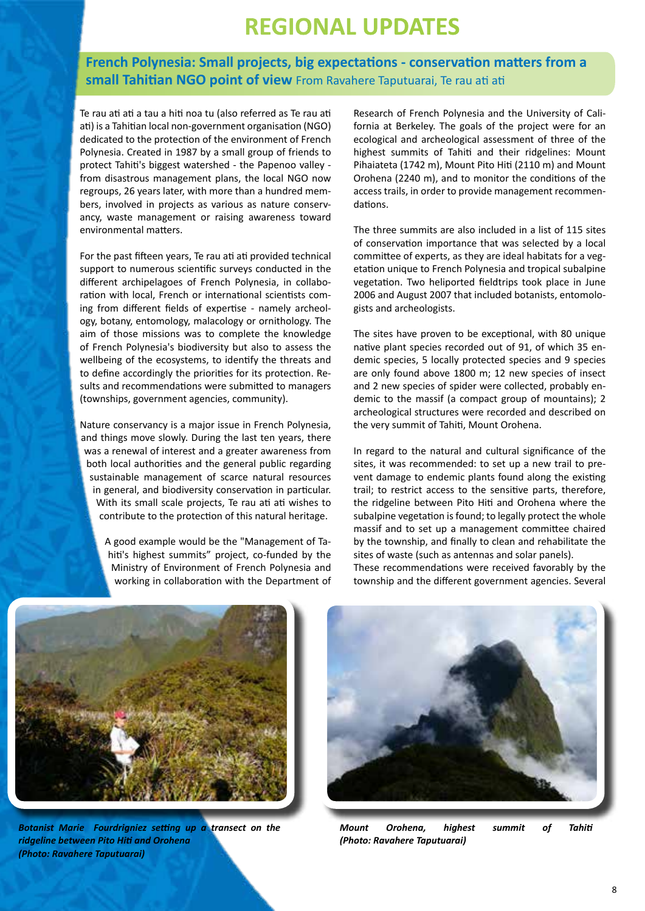# **REGIONAL UPDATES**

# **French Polynesia: Small projects, big expectations - conservation matters from a small Tahitian NGO point of view** From Ravahere Taputuarai, Te rau ati ati

Te rau ati ati a tau a hiti noa tu (also referred as Te rau ati ati) is a Tahitian local non-government organisation (NGO) dedicated to the protection of the environment of French Polynesia. Created in 1987 by a small group of friends to protect Tahiti's biggest watershed - the Papenoo valley from disastrous management plans, the local NGO now regroups, 26 years later, with more than a hundred members, involved in projects as various as nature conservancy, waste management or raising awareness toward environmental matters.

For the past fifteen years, Te rau ati ati provided technical support to numerous scientific surveys conducted in the different archipelagoes of French Polynesia, in collaboration with local, French or international scientists coming from different fields of expertise - namely archeology, botany, entomology, malacology or ornithology. The aim of those missions was to complete the knowledge of French Polynesia's biodiversity but also to assess the wellbeing of the ecosystems, to identify the threats and to define accordingly the priorities for its protection. Results and recommendations were submitted to managers (townships, government agencies, community).

Nature conservancy is a major issue in French Polynesia, and things move slowly. During the last ten years, there was a renewal of interest and a greater awareness from both local authorities and the general public regarding sustainable management of scarce natural resources in general, and biodiversity conservation in particular. With its small scale projects, Te rau ati ati wishes to contribute to the protection of this natural heritage.

A good example would be the "Management of Tahiti's highest summits" project, co-funded by the Ministry of Environment of French Polynesia and working in collaboration with the Department of Research of French Polynesia and the University of California at Berkeley. The goals of the project were for an ecological and archeological assessment of three of the highest summits of Tahiti and their ridgelines: Mount Pihaiateta (1742 m), Mount Pito Hiti (2110 m) and Mount Orohena (2240 m), and to monitor the conditions of the access trails, in order to provide management recommendations.

The three summits are also included in a list of 115 sites of conservation importance that was selected by a local committee of experts, as they are ideal habitats for a vegetation unique to French Polynesia and tropical subalpine vegetation. Two heliported fieldtrips took place in June 2006 and August 2007 that included botanists, entomologists and archeologists.

The sites have proven to be exceptional, with 80 unique native plant species recorded out of 91, of which 35 endemic species, 5 locally protected species and 9 species are only found above 1800 m; 12 new species of insect and 2 new species of spider were collected, probably endemic to the massif (a compact group of mountains); 2 archeological structures were recorded and described on the very summit of Tahiti, Mount Orohena.

In regard to the natural and cultural significance of the sites, it was recommended: to set up a new trail to prevent damage to endemic plants found along the existing trail; to restrict access to the sensitive parts, therefore, the ridgeline between Pito Hiti and Orohena where the subalpine vegetation is found: to legally protect the whole massif and to set up a management committee chaired by the township, and finally to clean and rehabilitate the sites of waste (such as antennas and solar panels). These recommendations were received favorably by the

township and the different government agencies. Several



*Botanist Marie Fourdrigniez setting up a transect on the ridgeline between Pito Hiti and Orohena (Photo: Ravahere Taputuarai)*



*Mount Orohena, highest summit of Tahiti (Photo: Ravahere Taputuarai)*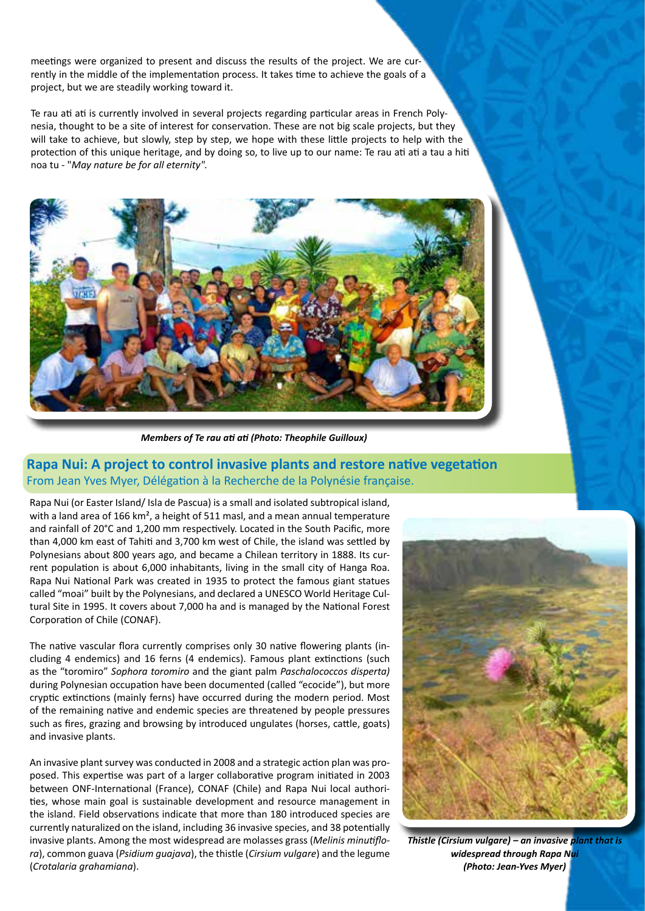meetings were organized to present and discuss the results of the project. We are currently in the middle of the implementation process. It takes time to achieve the goals of a project, but we are steadily working toward it.

Te rau ati ati is currently involved in several projects regarding particular areas in French Polynesia, thought to be a site of interest for conservation. These are not big scale projects, but they will take to achieve, but slowly, step by step, we hope with these little projects to help with the protection of this unique heritage, and by doing so, to live up to our name: Te rau ati ati a tau a hiti noa tu - "*May nature be for all eternity".*



*Members of Te rau ati ati (Photo: Theophile Guilloux)*

**Rapa Nui: A project to control invasive plants and restore native vegetation**  From Jean Yves Myer, Délégation à la Recherche de la Polynésie française.

Rapa Nui (or Easter Island/ Isla de Pascua) is a small and isolated subtropical island, with a land area of 166 km<sup>2</sup>, a height of 511 masl, and a mean annual temperature and rainfall of 20°C and 1,200 mm respectively. Located in the South Pacific, more than 4,000 km east of Tahiti and 3,700 km west of Chile, the island was settled by Polynesians about 800 years ago, and became a Chilean territory in 1888. Its current population is about 6,000 inhabitants, living in the small city of Hanga Roa. Rapa Nui National Park was created in 1935 to protect the famous giant statues called "moai" built by the Polynesians, and declared a UNESCO World Heritage Cultural Site in 1995. It covers about 7,000 ha and is managed by the National Forest Corporation of Chile (CONAF).

The native vascular flora currently comprises only 30 native flowering plants (including 4 endemics) and 16 ferns (4 endemics). Famous plant extinctions (such as the "toromiro" *Sophora toromiro* and the giant palm *Paschalococcos disperta)* during Polynesian occupation have been documented (called "ecocide"), but more cryptic extinctions (mainly ferns) have occurred during the modern period. Most of the remaining native and endemic species are threatened by people pressures such as fires, grazing and browsing by introduced ungulates (horses, cattle, goats) and invasive plants.

An invasive plant survey was conducted in 2008 and a strategic action plan was proposed. This expertise was part of a larger collaborative program initiated in 2003 between ONF-International (France), CONAF (Chile) and Rapa Nui local authorities, whose main goal is sustainable development and resource management in the island. Field observations indicate that more than 180 introduced species are currently naturalized on the island, including 36 invasive species, and 38 potentially invasive plants. Among the most widespread are molasses grass (*Melinis minutiflora*), common guava (*Psidium guajava*), the thistle (*Cirsium vulgare*) and the legume (*Crotalaria grahamiana*).



*Thistle (Cirsium vulgare) – an invasive plant that is widespread through Rapa Nui (Photo: Jean-Yves Myer)*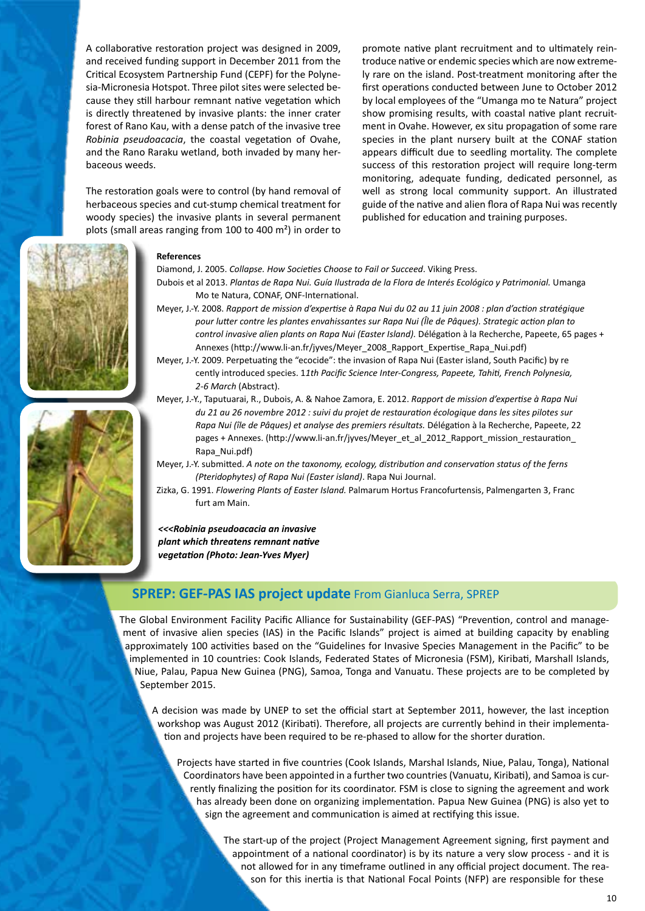A collaborative restoration project was designed in 2009, and received funding support in December 2011 from the Critical Ecosystem Partnership Fund (CEPF) for the Polynesia-Micronesia Hotspot. Three pilot sites were selected because they still harbour remnant native vegetation which is directly threatened by invasive plants: the inner crater forest of Rano Kau, with a dense patch of the invasive tree *Robinia pseudoacacia*, the coastal vegetation of Ovahe, and the Rano Raraku wetland, both invaded by many herbaceous weeds.

The restoration goals were to control (by hand removal of herbaceous species and cut-stump chemical treatment for woody species) the invasive plants in several permanent plots (small areas ranging from 100 to 400 m²) in order to

promote native plant recruitment and to ultimately reintroduce native or endemic species which are now extremely rare on the island. Post-treatment monitoring after the first operations conducted between June to October 2012 by local employees of the "Umanga mo te Natura" project show promising results, with coastal native plant recruitment in Ovahe. However, ex situ propagation of some rare species in the plant nursery built at the CONAF station appears difficult due to seedling mortality. The complete success of this restoration project will require long-term monitoring, adequate funding, dedicated personnel, as well as strong local community support. An illustrated guide of the native and alien flora of Rapa Nui was recently published for education and training purposes.



#### **References**

Diamond, J. 2005. *Collapse. How Societies Choose to Fail or Succeed*. Viking Press.

- Dubois et al 2013. *Plantas de Rapa Nui. Guía Ilustrada de la Flora de Interés Ecológico y Patrimonial.* Umanga Mo te Natura, CONAF, ONF-International.
- Meyer, J.-Y. 2008. *Rapport de mission d'expertise à Rapa Nui du 02 au 11 juin 2008 : plan d'action stratégique pour lutter contre les plantes envahissantes sur Rapa Nui (Île de Pâques). Strategic action plan to control invasive alien plants on Rapa Nui (Easter Island).* Délégation à la Recherche, Papeete, 65 pages + Annexes (http://www.li-an.fr/jyves/Meyer\_2008\_Rapport\_Expertise\_Rapa\_Nui.pdf)
- Meyer, J.-Y. 2009. Perpetuating the "ecocide": the invasion of Rapa Nui (Easter island, South Pacific) by re cently introduced species. 1*1th Pacific Science Inter-Congress, Papeete, Tahiti, French Polynesia, 2-6 March* (Abstract).
- Meyer, J.-Y., Taputuarai, R., Dubois, A. & Nahoe Zamora, E. 2012. *Rapport de mission d'expertise à Rapa Nui du 21 au 26 novembre 2012 : suivi du projet de restauration écologique dans les sites pilotes sur Rapa Nui (île de Pâques) et analyse des premiers résultats.* Délégation à la Recherche, Papeete, 22 pages + Annexes. (http://www.li-an.fr/jyves/Meyer\_et\_al\_2012\_Rapport\_mission\_restauration Rapa\_Nui.pdf)
- Meyer, J.-Y. submitted. *A note on the taxonomy, ecology, distribution and conservation status of the ferns (Pteridophytes) of Rapa Nui (Easter island)*. Rapa Nui Journal.
- Zizka, G. 1991. *Flowering Plants of Easter Island.* Palmarum Hortus Francofurtensis, Palmengarten 3, Franc furt am Main.

*<<<Robinia pseudoacacia an invasive plant which threatens remnant native vegetation (Photo: Jean-Yves Myer)* 

## **SPREP: GEF-PAS IAS project update** From Gianluca Serra, SPREP

The Global Environment Facility Pacific Alliance for Sustainability (GEF-PAS) "Prevention, control and management of invasive alien species (IAS) in the Pacific Islands" project is aimed at building capacity by enabling approximately 100 activities based on the "Guidelines for Invasive Species Management in the Pacific" to be implemented in 10 countries: Cook Islands, Federated States of Micronesia (FSM), Kiribati, Marshall Islands, Niue, Palau, Papua New Guinea (PNG), Samoa, Tonga and Vanuatu. These projects are to be completed by September 2015.

A decision was made by UNEP to set the official start at September 2011, however, the last inception workshop was August 2012 (Kiribati). Therefore, all projects are currently behind in their implementation and projects have been required to be re-phased to allow for the shorter duration.

Projects have started in five countries (Cook Islands, Marshal Islands, Niue, Palau, Tonga), National Coordinators have been appointed in a further two countries (Vanuatu, Kiribati), and Samoa is currently finalizing the position for its coordinator. FSM is close to signing the agreement and work has already been done on organizing implementation. Papua New Guinea (PNG) is also yet to sign the agreement and communication is aimed at rectifying this issue.

> The start-up of the project (Project Management Agreement signing, first payment and appointment of a national coordinator) is by its nature a very slow process - and it is not allowed for in any timeframe outlined in any official project document. The reason for this inertia is that National Focal Points (NFP) are responsible for these

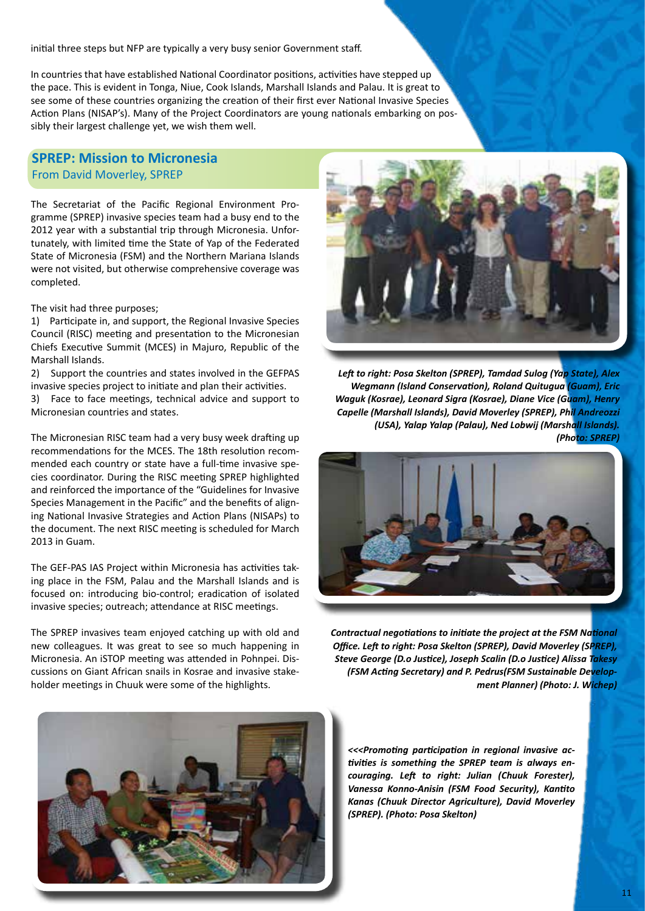initial three steps but NFP are typically a very busy senior Government staff.

In countries that have established National Coordinator positions, activities have stepped up the pace. This is evident in Tonga, Niue, Cook Islands, Marshall Islands and Palau. It is great to see some of these countries organizing the creation of their first ever National Invasive Species Action Plans (NISAP's). Many of the Project Coordinators are young nationals embarking on possibly their largest challenge yet, we wish them well.

## **SPREP: Mission to Micronesia** From David Moverley, SPREP

The Secretariat of the Pacific Regional Environment Programme (SPREP) invasive species team had a busy end to the 2012 year with a substantial trip through Micronesia. Unfortunately, with limited time the State of Yap of the Federated State of Micronesia (FSM) and the Northern Mariana Islands were not visited, but otherwise comprehensive coverage was completed.

The visit had three purposes;

1) Participate in, and support, the Regional Invasive Species Council (RISC) meeting and presentation to the Micronesian Chiefs Executive Summit (MCES) in Majuro, Republic of the Marshall Islands.

2) Support the countries and states involved in the GEFPAS invasive species project to initiate and plan their activities.

3) Face to face meetings, technical advice and support to Micronesian countries and states.

The Micronesian RISC team had a very busy week drafting up recommendations for the MCES. The 18th resolution recommended each country or state have a full-time invasive species coordinator. During the RISC meeting SPREP highlighted and reinforced the importance of the "Guidelines for Invasive Species Management in the Pacific" and the benefits of aligning National Invasive Strategies and Action Plans (NISAPs) to the document. The next RISC meeting is scheduled for March 2013 in Guam.

The GEF-PAS IAS Project within Micronesia has activities taking place in the FSM, Palau and the Marshall Islands and is focused on: introducing bio-control; eradication of isolated invasive species; outreach; attendance at RISC meetings.

The SPREP invasives team enjoyed catching up with old and new colleagues. It was great to see so much happening in Micronesia. An iSTOP meeting was attended in Pohnpei. Discussions on Giant African snails in Kosrae and invasive stakeholder meetings in Chuuk were some of the highlights.



*Left to right: Posa Skelton (SPREP), Tamdad Sulog (Yap State), Alex Wegmann (Island Conservation), Roland Quitugua (Guam), Eric Waguk (Kosrae), Leonard Sigra (Kosrae), Diane Vice (Guam), Henry Capelle (Marshall Islands), David Moverley (SPREP), Phil Andreozzi (USA), Yalap Yalap (Palau), Ned Lobwij (Marshall Islands). (Photo: SPREP)*



*Contractual negotiations to initiate the project at the FSM National Office. Left to right: Posa Skelton (SPREP), David Moverley (SPREP), Steve George (D.o Justice), Joseph Scalin (D.o Justice) Alissa Takesy (FSM Acting Secretary) and P. Pedrus(FSM Sustainable Development Planner) (Photo: J. Wichep)*

*<<<Promoting participation in regional invasive activities is something the SPREP team is always encouraging. Left to right: Julian (Chuuk Forester), Vanessa Konno-Anisin (FSM Food Security), Kantito Kanas (Chuuk Director Agriculture), David Moverley (SPREP). (Photo: Posa Skelton)*